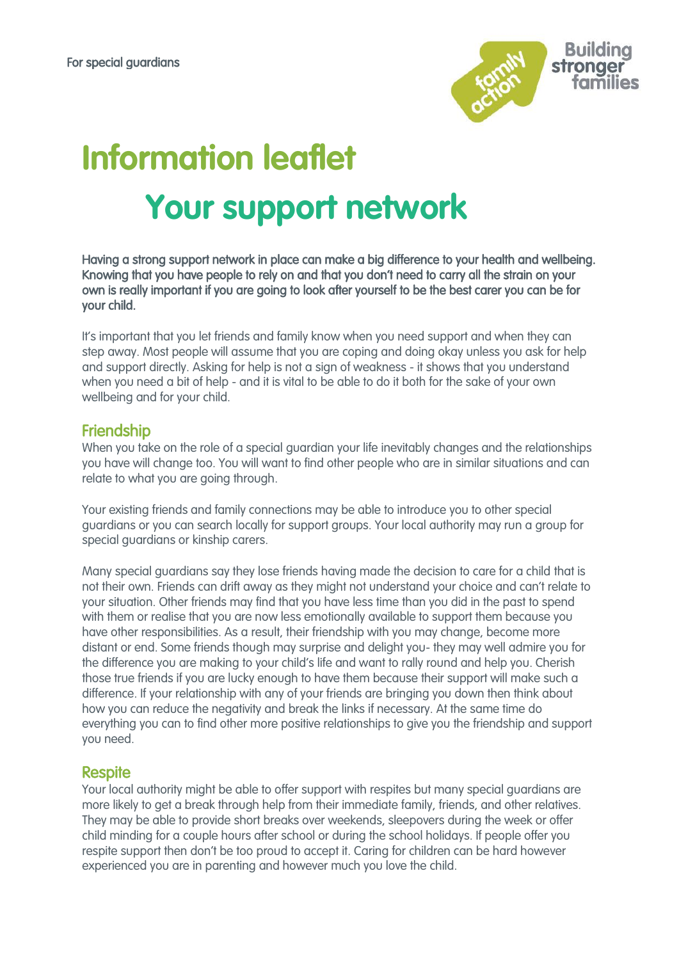

# **Information leaflet Your support network**

Having a strong support network in place can make a big difference to your health and wellbeing. Knowing that you have people to rely on and that you don't need to carry all the strain on your own is really important if you are going to look after yourself to be the best carer you can be for your child.

It's important that you let friends and family know when you need support and when they can step away. Most people will assume that you are coping and doing okay unless you ask for help and support directly. Asking for help is not a sign of weakness - it shows that you understand when you need a bit of help - and it is vital to be able to do it both for the sake of your own wellbeing and for your child.

### Friendship

When you take on the role of a special guardian your life inevitably changes and the relationships you have will change too. You will want to find other people who are in similar situations and can relate to what you are going through.

Your existing friends and family connections may be able to introduce you to other special guardians or you can search locally for support groups. Your local authority may run a group for special guardians or kinship carers.

Many special guardians say they lose friends having made the decision to care for a child that is not their own. Friends can drift away as they might not understand your choice and can't relate to your situation. Other friends may find that you have less time than you did in the past to spend with them or realise that you are now less emotionally available to support them because you have other responsibilities. As a result, their friendship with you may change, become more distant or end. Some friends though may surprise and delight you- they may well admire you for the difference you are making to your child's life and want to rally round and help you. Cherish those true friends if you are lucky enough to have them because their support will make such a difference. If your relationship with any of your friends are bringing you down then think about how you can reduce the negativity and break the links if necessary. At the same time do everything you can to find other more positive relationships to give you the friendship and support you need.

#### **Respite**

Your local authority might be able to offer support with respites but many special guardians are more likely to get a break through help from their immediate family, friends, and other relatives. They may be able to provide short breaks over weekends, sleepovers during the week or offer child minding for a couple hours after school or during the school holidays. If people offer you respite support then don't be too proud to accept it. Caring for children can be hard however experienced you are in parenting and however much you love the child.